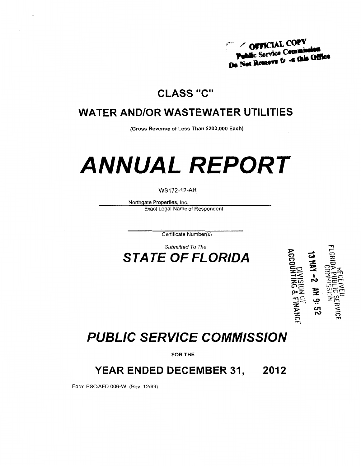

## **CLASS "C"**

## **WATER AND/OR WASTEWATER UTILITIES**

(Gross Revenue of Less Than \$200,000 Each)

# **ANNUAL REPORT**

#### **WS172-12-AR**

Northgate Properties, Inc. **Exact Legal Name of Respondent** 

Certificate Number(s)

Submitted To The **STATE OF FLORIDA** 



# **PUBLIC SERVICE COMMISSION**

FOR THE

#### **YEAR ENDED DECEMBER 31,** 2012

Form PSC/AFD 006-W (Rev. 12/99)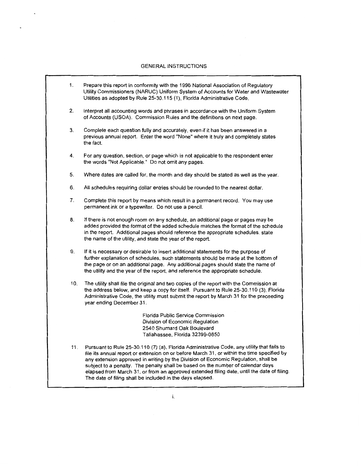#### GENERAL INSTRUCTIONS

Ä,

| 1.  | Prepare this report in conformity with the 1996 National Association of Regulatory<br>Utility Commissioners (NARUC) Uniform System of Accounts for Water and Wastewater<br>Utilities as adopted by Rule 25-30.115 (1), Florida Administrative Code.                                                                                                                                                                                                             |
|-----|-----------------------------------------------------------------------------------------------------------------------------------------------------------------------------------------------------------------------------------------------------------------------------------------------------------------------------------------------------------------------------------------------------------------------------------------------------------------|
| 2.  | Interpret all accounting words and phrases in accordance with the Uniform System<br>of Accounts (USOA). Commission Rules and the definitions on next page.                                                                                                                                                                                                                                                                                                      |
| 3.  | Complete each question fully and accurately, even if it has been answered in a<br>previous annual report. Enter the word "None" where it truly and completely states<br>the fact.                                                                                                                                                                                                                                                                               |
| 4.  | For any question, section, or page which is not applicable to the respondent enter<br>the words "Not Applicable." Do not omit any pages.                                                                                                                                                                                                                                                                                                                        |
| 5.  | Where dates are called for, the month and day should be stated as well as the year.                                                                                                                                                                                                                                                                                                                                                                             |
| 6.  | All schedules requiring dollar entries should be rounded to the nearest dollar.                                                                                                                                                                                                                                                                                                                                                                                 |
| 7.  | Complete this report by means which result in a permanent record. You may use<br>permanent ink or a typewriter. Do not use a pencil.                                                                                                                                                                                                                                                                                                                            |
| 8.  | If there is not enough room on any schedule, an additional page or pages may be<br>added provided the format of the added schedule matches the format of the schedule<br>in the report. Additional pages should reference the appropriate schedules, state<br>the name of the utility, and state the year of the report.                                                                                                                                        |
| 9.  | If it is necessary or desirable to insert additional statements for the purpose of<br>further explanation of schedules, such statements should be made at the bottorn of<br>the page or on an additional page. Any additional pages should state the name of<br>the utility and the year of the report, and reference the appropriate schedule.                                                                                                                 |
| 10. | The utility shall file the original and two copies of the report with the Commission at<br>the address below, and keep a copy for itself. Pursuant to Rule 25-30.110 (3), Florida<br>Administrative Code, the utility must submit the report by March 31 for the preceeding<br>year ending December 31.                                                                                                                                                         |
|     | Florida Public Service Commission<br>Division of Economic Regulation<br>2540 Shumard Oak Boulevard<br>Tallahassee, Florida 32399-0850                                                                                                                                                                                                                                                                                                                           |
| 11. | Pursuant to Rule 25-30.110 (7) (a), Florida Administrative Code, any utility that fails to<br>file its annual report or extension on or before March 31, or within the time specified by<br>any extension approved in writing by the Division of Economic Regulation, shall be<br>subject to a penalty. The penalty shall be based on the number of calendar days<br>elapsed from March 31, or from an approved extended filing date, until the date of filing. |

The date of filing shall be included in the days elapsed.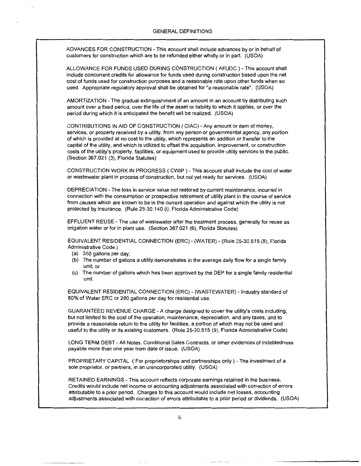ADVANCES FOR CONSTRUCTION- This account shall include advances by or in behalf of customers for construction which are to be refunded either wholly or in part. (USOA)

ALLOWANCE FOR FUNDS USED DURING CONSTRUCTION ( AFUDC)- This account shall include concurrent credits for allowance for funds used during construction based upon the net cost of funds used for construction purposes and a reasonable rate upon other funds when so used. Appropriate regulatory approval shall be obtained for "a reasonable rate". (USOA)

AMORTIZATION- The gradual extinguishment of an amount in an account by distributing such amount over a fixed period, over the life of the asset or liability to which it applies, or over the period during which it is anticipated the benefit will be realized. (USOA)

CONTRIBUTIONS IN AID OF CONSTRUCTION ( CIAC)- Any amount or item of money, services, or property received by a utility, from any person or governmental agency, any portion of which is provided at no cost to the utility, which represents an addition or transfer to the capital of the utility, and which is utilized to offset the acquisition, improvement, or construction costs of the utility's property, facilities, or equipment used to provide utility services to the public. (Section 367.021 (3), Florida Statutes)

CONSTRUCTION WORK IN PROGRESS ( CWIP ) - This account shall include the cost of water or wastewater plant in process of construction, but not yet ready for services. (USOA)

DEPRECIATION- The loss in service value not restored by current maintenance, incurred in connection with the consumption or prospective retirement of utility plant in the course of service from causes which are known to be in the current operation and against which the utility is not protected by insurance. (Rule 25-30.140 (i), Florida Administrative Code)

EFFLUENT REUSE- The use of wastewater after the treatment process, generally for reuse as irrigation water or for in plant use. (Section 367.021 (6), Florida Statutes)

EQUIVALENT RESIDENTIAL CONNECTION (ERC)- (WATER)- (Rule 25-30.515 (8), Florida Administrative Code.)

- (a) 350 gallons per day;
- (b) The number of gallons a utility demonstrates in the average daily flow for a single family unit; or
- (c) The number of gallons which has been approved by the DEP for a single family residential unit.

EQUIVALENT RESIDENTIAL CONNECTION (ERC) - (WASTEWATER) - Industry standard of 80% of Water ERC or 280 gallons per day for residential use.

GUARANTEED REVENUE CHARGE -A charge designed to cover the utility's costs including, but not limited to the cost of the operation, maintenance, depreciation, and any taxes, and to provide a reasonable return to the utility for facilities, a portion of which may not be used and useful to the utility or its existing customers. (Rule 25-30.515 (9), Florida Administrative Code)

LONG TERM DEBT- All Notes, Conditional Sales Contracts, or other evidences of indebtedness payable more than one year from date of issue. (USOA)

PROPRIETARY CAPITAL (For proprietorships and partnerships only)- The investment of a sole proprietor, or partners, in an unincorporated utility. (USOA)

RETAINED EARNINGS- This account reflects corporate earnings retained in the business. Credits would include net income or accounting adjustments associated with correction of errors attributable to a prior period. Charges to this account would include net losses, accounting adjustments associated with correction of errors attributable to a prior period or dividends. (USOA)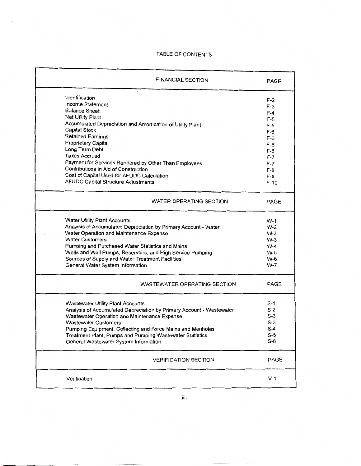#### TABLE OF CONTENTS

 $\bar{\beta}$ 

| <b>FINANCIAL SECTION</b>                                             | PAGE   |
|----------------------------------------------------------------------|--------|
| Identification                                                       | F-2    |
| Income Statement                                                     | $F-3$  |
| <b>Balance Sheet</b>                                                 | F-4    |
| Net Utility Plant                                                    | $F-5$  |
| Accumulated Depreciation and Amortization of Utility Plant           | F-5    |
| Capital Stock                                                        | F-6    |
| <b>Retained Earnings</b>                                             | F-6    |
| <b>Proprietary Capital</b>                                           | F-6    |
| Long Term Debt                                                       | F-6    |
| <b>Taxes Accrued</b>                                                 | F-7    |
| Payment for Services Rendered by Other Than Employees                | F-7    |
| Contributions in Aid of Construction                                 | $F-8$  |
| Cost of Capital Used for AFUDC Calculation                           | $F-9$  |
| AFUDC Capital Structure Adjustments                                  | $F-10$ |
| WATER OPERATING SECTION                                              | PAGE   |
| <b>Water Utility Plant Accounts</b>                                  | W-1    |
| Analysis of Accumulated Depreciation by Primary Account - Water      | W-2    |
| Water Operation and Maintenance Expense                              | $W-3$  |
| <b>Water Customers</b>                                               | $W-3$  |
| Pumping and Purchased Water Statistics and Mains                     | $VV-4$ |
| Wells and Well Pumps, Reservoirs, and High Service Pumping           | W-5    |
| Sources of Supply and Water Treatment Facilities                     | VV-6   |
| General Water System Information                                     | W-7    |
| WASTEWATER OPERATING SECTION                                         | PAGE   |
| <b>Wastewater Utility Plant Accounts</b>                             | S-1    |
| Analysis of Accumulated Depreciation by Primary Account - Wastewater | $S-2$  |
| Wastewater Operation and Maintenance Expense                         | $S-3$  |
| <b>Wastewater Customers</b>                                          | $S-3$  |
| Pumping Equipment, Collecting and Force Mains and Manholes           | $S-4$  |
| Treatment Plant, Pumps and Pumping Wastewater Statistics             | $S-5$  |
| General Wastewater System Information                                | $S-6$  |
| <b>VERIFICATION SECTION</b>                                          | PAGE   |
| Verification                                                         | $V-1$  |

iii.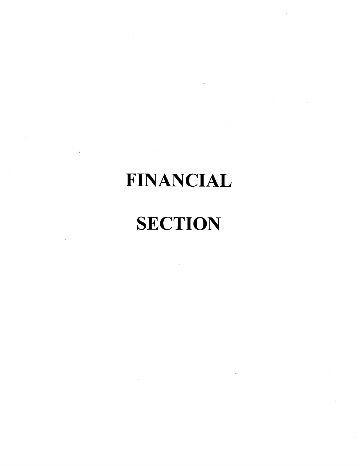# **FINANCIAL**

# **SECTION**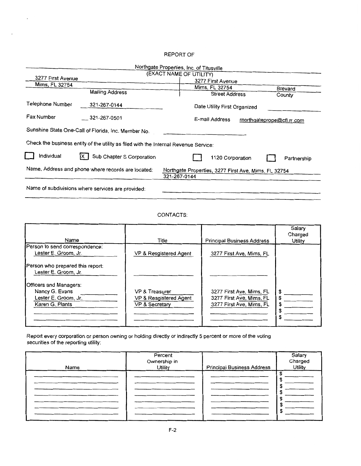#### REPORT OF

 $\overline{\phantom{a}}$ 

| Northgate Properties, Inc. of Titusville                                                                                   |                                                                                      |  |  |                              |  |  |         |
|----------------------------------------------------------------------------------------------------------------------------|--------------------------------------------------------------------------------------|--|--|------------------------------|--|--|---------|
|                                                                                                                            | (EXACT NAME OF UTILITY)                                                              |  |  |                              |  |  |         |
| 3277 First Avenue                                                                                                          |                                                                                      |  |  | 3277 First Avenue            |  |  |         |
| Mims, FL 32754                                                                                                             |                                                                                      |  |  | Mims, FL 32754               |  |  | Brevard |
|                                                                                                                            | <b>Mailing Address</b>                                                               |  |  | <b>Street Address</b>        |  |  | County  |
| Telephone Number                                                                                                           | 321-267-0144                                                                         |  |  | Date Utility First Organized |  |  |         |
| Fax Number<br>321-267-0501<br>E-mail Address<br>rnorthgateprope@cfl.rr.com                                                 |                                                                                      |  |  |                              |  |  |         |
|                                                                                                                            | Sunshine State One-Call of Florida, Inc. Member No.                                  |  |  |                              |  |  |         |
|                                                                                                                            | Check the business entity of the utility as filed with the Internal Revenue Service: |  |  |                              |  |  |         |
| Individual                                                                                                                 | Sub Chapter S Corporation<br>1120 Corporation<br>Partnership                         |  |  |                              |  |  |         |
| Name, Address and phone where records are located:<br>Northgate Properties, 3277 First Ave, Mims, FL 32754<br>321-267-0144 |                                                                                      |  |  |                              |  |  |         |
| Name of subdivisions where services are provided:                                                                          |                                                                                      |  |  |                              |  |  |         |

#### CONTACTS:

| Name                                                                                                                                            | Title                                                                 | <b>Principal Business Address</b>                                                | Salary<br>Charged<br>Utility |
|-------------------------------------------------------------------------------------------------------------------------------------------------|-----------------------------------------------------------------------|----------------------------------------------------------------------------------|------------------------------|
| Person to send correspondence:<br>Lester E. Groom, Jr.                                                                                          | VP & Resgistered Agent                                                | 3277 First Ave, Mims, FL                                                         |                              |
| Person who prepared this report:<br>Lester E. Groom, Jr.<br>Officers and Managers:<br>Nancy G. Evans<br>Lester E. Groom, Jr.<br>Karen G. Plants | <b>VP &amp; Treasurer</b><br>VP & Resgistered Agent<br>VP & Secretary | 3277 First Ave, Mims, FL<br>3277 First Ave, Mims, FL<br>3277 First Ave, Mims, FL | \$<br>S<br>S                 |

Report every corporation or person owning or holding directly or indirectly 5 percent or more of the voting securities of the reporting utility:

| Name | Percent<br>Ownership in<br><b>Utility</b> | <b>Principal Business Address</b> | Salary<br>Charged<br><b>Utility</b> |
|------|-------------------------------------------|-----------------------------------|-------------------------------------|
|      |                                           |                                   |                                     |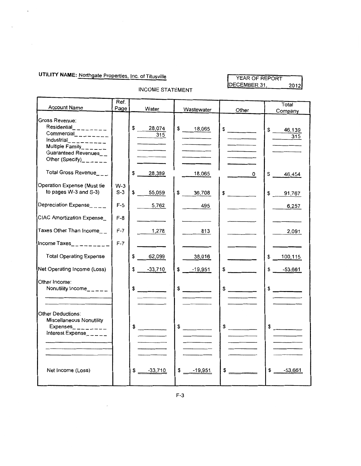## **UTILITY NAME:** Northgate Properties. Inc. of Titusville

 $\sim$   $\sim$ 

 $\langle \cdot \rangle$ 

#### YEAR OF REPORT DECEMBER 31,  $2012$

| Account Name                                                                                                                                                    | Ref.<br>Page   |                                                                                                                                                                                                                                                                         |               |               | Total               |
|-----------------------------------------------------------------------------------------------------------------------------------------------------------------|----------------|-------------------------------------------------------------------------------------------------------------------------------------------------------------------------------------------------------------------------------------------------------------------------|---------------|---------------|---------------------|
|                                                                                                                                                                 |                | Water                                                                                                                                                                                                                                                                   | Wastewater    | Other         | Company             |
| Gross Revenue:<br>Residential________<br>Commercial_________<br>Industrial__________<br>Multiple Family______<br>Guaranteed Revenues__<br>Other (Specify)______ |                | \$ 28,074<br>315                                                                                                                                                                                                                                                        | \$ 18,065     | $\frac{1}{2}$ | \$<br>46,139<br>315 |
| Total Gross Revenue___                                                                                                                                          |                | \$<br>28,389                                                                                                                                                                                                                                                            | 18,065        | 0             | S.<br>46,454        |
| Operation Expense (Must tie<br>to pages W-3 and S-3)                                                                                                            | $W-3$<br>$S-3$ | \$<br>55,059                                                                                                                                                                                                                                                            | \$36,708      | $\frac{1}{2}$ | \$91,767            |
| Depreciation Expense____                                                                                                                                        | $F-5$          | 5,762                                                                                                                                                                                                                                                                   | 495           |               | 6,257               |
| CIAC Amortization Expense_                                                                                                                                      | $F-8$          |                                                                                                                                                                                                                                                                         |               |               |                     |
| Taxes Other Than Income                                                                                                                                         | $F-7$          | 1,278                                                                                                                                                                                                                                                                   | 813           |               | 2,091               |
| Income Taxes_ ________                                                                                                                                          | $F-7$          |                                                                                                                                                                                                                                                                         |               |               |                     |
| <b>Total Operating Expense</b>                                                                                                                                  |                | \$<br>62,099                                                                                                                                                                                                                                                            | 38,016        |               | \$<br>100,115       |
| Net Operating Income (Loss)                                                                                                                                     |                | $-33,710$<br>\$                                                                                                                                                                                                                                                         | \$<br>-19,951 | \$            | \$<br>$-53,661$     |
| Other Income:<br>Nonutility Income_____                                                                                                                         |                | \$                                                                                                                                                                                                                                                                      | \$            | $\frac{1}{2}$ | $\sim$              |
| Other Deductions:<br><b>Miscellaneous Nonutility</b><br>Expenses $      -$<br>Interest Expense_____                                                             |                | \$<br>$\label{eq:2.1} \begin{array}{ll} \mathcal{L}_{\text{max}}(\mathcal{L}_{\text{max}}) & \mathcal{L}_{\text{max}}(\mathcal{L}_{\text{max}}) \\ \mathcal{L}_{\text{max}}(\mathcal{L}_{\text{max}}) & \mathcal{L}_{\text{max}}(\mathcal{L}_{\text{max}}) \end{array}$ | $\frac{1}{2}$ | $\frac{1}{2}$ | $\frac{1}{2}$       |
| Net Income (Loss)                                                                                                                                               |                | $-33,710$<br>\$                                                                                                                                                                                                                                                         | \$<br>-19,951 | $\frac{1}{2}$ | \$<br>$-53,661$     |

INCOME STATEMENT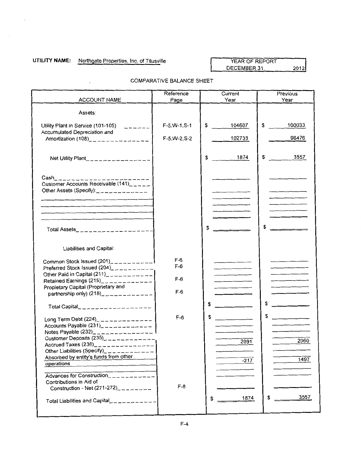### **UTILITY NAME:** Northgate Properties, Inc. of Titusville

 $\ddot{\phantom{a}}$ 

 $\lambda$ 

#### YEAR OF REPORT DECEMBER 31,  $2012$

|                                                                                                                                                                                                            | Reference               | Current                                                                                                                                              | Previous                                       |
|------------------------------------------------------------------------------------------------------------------------------------------------------------------------------------------------------------|-------------------------|------------------------------------------------------------------------------------------------------------------------------------------------------|------------------------------------------------|
| ACCOUNT NAME                                                                                                                                                                                               | Page                    | Year                                                                                                                                                 | Year                                           |
| Assets:                                                                                                                                                                                                    |                         |                                                                                                                                                      |                                                |
| Utility Plant in Service (101-105)<br>$\frac{1}{2}$<br>Accumulated Depreciation and                                                                                                                        | $F-5, W-1, S-1$         | \$<br>104607                                                                                                                                         | \$<br>100033                                   |
| Amortization $(108)$ _______________                                                                                                                                                                       | $F-5, W-2, S-2$         | 102733                                                                                                                                               | 96476                                          |
| Net Utility Plant_________________                                                                                                                                                                         |                         | 1874<br>\$                                                                                                                                           | \$<br>3557                                     |
| $Cash_{---------------$<br>Customer Accounts Receivable $(141)$ <sub>----</sub><br>Other Assets (Specify): ____________<br>the contract of the contract of the contract of the contract of the contract of |                         | $\overline{\phantom{a}}$                                                                                                                             | $\overline{\phantom{a}}$<br>_________          |
| Total Assets____________________                                                                                                                                                                           |                         |                                                                                                                                                      |                                                |
| Liabilities and Capital:                                                                                                                                                                                   |                         |                                                                                                                                                      |                                                |
| Common Stock Issued $(201)$ <sub>2</sub> <sub>2</sub> <sub>2</sub> <sub>2</sub> 222222<br>Preferred Stock Issued $(204)$ ___________<br>Other Paid in Capital $(211)$ <sub>_______________</sub>           | $F-6$<br>$F-6$<br>$F-6$ | the company of the company of the<br>the contract of the contract of the contract of the contract of the contract of the contract of the contract of |                                                |
| Propietary Capital (Proprietary and<br>partnership only) $(218)$ <sub>----------</sub> -----                                                                                                               | $F-6$                   |                                                                                                                                                      | <u> The Communication of the Communication</u> |
| Total Capital____________________                                                                                                                                                                          |                         | \$                                                                                                                                                   |                                                |
| Long Term Debt $(224)$ <sub>------------</sub> ----<br>Accounts Payable $(231)$ <sub>-----------</sub> ----                                                                                                | $F-6$                   | \$                                                                                                                                                   | \$<br><u> 1980 - Jan Stern Barns</u>           |
| Customer Deposits $(235)$ <sub>----------</sub> ----<br>Accrued Taxes $(236)$ <sub>------</sub> ---------<br>Other Liabilities (Specify)______                                                             |                         | 2091                                                                                                                                                 | 2060                                           |
| Absorbed by entity's funds from other<br>operations                                                                                                                                                        |                         | $-217$                                                                                                                                               | 1497                                           |
| Advances for Construction___________<br>Contributions in Aid of<br>Construction - Net $(271-272)$ <sub>2</sub> _ _ _ _ _ _ _                                                                               | $F-8$                   |                                                                                                                                                      |                                                |
| Total Liabilities and Capital___________                                                                                                                                                                   |                         | 1874<br>\$                                                                                                                                           | 3557<br>\$                                     |

#### COMPARATIVE BALANCE SHEET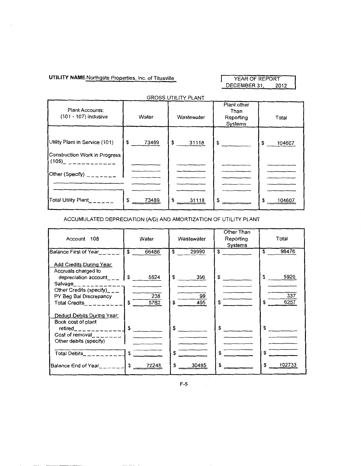UTILITY NAME Northgate Properties, Inc. of Titusville YEAR OF REPORT

DECEMBER 31, 2012

| <b>GROSS UTILITY PLANT</b>                                                                                                                                                          |             |             |                                             |              |  |
|-------------------------------------------------------------------------------------------------------------------------------------------------------------------------------------|-------------|-------------|---------------------------------------------|--------------|--|
| Plant Accounts:<br>(101 - 107) inclusive                                                                                                                                            | Water       | Wastewater  | Plant other<br>Than<br>Reporting<br>Systems | Total        |  |
| Utility Plant in Service (101)<br>Construction Work in Progress<br>$(105)$ _ _ _ _ _ _ _ _ _ _ _ _<br>Other (Specify) $\frac{1}{2}$ = $\frac{1}{2}$ = $\frac{1}{2}$ = $\frac{1}{2}$ | \$<br>73489 | \$<br>31118 | $\frac{1}{2}$                               | \$<br>104607 |  |
| Total Utility Plant______                                                                                                                                                           | \$<br>73489 | \$<br>31118 | \$                                          | \$<br>104607 |  |

ACCUMULATED DEPRECIATION (AID) AND AMORTIZATION OF UTILITY PLANT

| Account 108                                                                                                                                                            | Water                            | Wastewater   | Other Than<br>Reporting<br>Systems | Total        |
|------------------------------------------------------------------------------------------------------------------------------------------------------------------------|----------------------------------|--------------|------------------------------------|--------------|
| <b>Balance First of Year</b>                                                                                                                                           | $\mathbf{s}$<br>66486            | 29990<br>\$. | \$                                 | 96476<br>\$  |
| Add Credits During Year:<br>Accruals charged to                                                                                                                        |                                  |              |                                    |              |
| depreciation account $\Box$                                                                                                                                            | I S.<br>5524                     | \$<br>396    | S.                                 | \$<br>5920   |
| Salvage_____________<br>Other Credits (specify)___<br>PY Beg Bal Discrepancy                                                                                           | 238                              | 99           |                                    | 337          |
| Total Credits <b>Contract Contract Contract Contract</b>                                                                                                               | $\overline{\phantom{0}}$<br>5762 | 495          | S.                                 | 6257         |
| Deduct Debits During Year:<br>Book cost of plant<br>$retired$ <sub>2</sub> $       -$<br>Cost of removal $\frac{1}{2}$ = $\frac{1}{2}$ = $\frac{1}{2}$ = $\frac{1}{2}$ | l \$                             | \$           | \$                                 | \$           |
| Other debits (specify)                                                                                                                                                 |                                  |              |                                    |              |
| Total Debits_________                                                                                                                                                  | $\mathsf{s}$                     |              | \$                                 | \$           |
| Balance End of Year <sub>_____</sub> ____ \$                                                                                                                           | 72248                            | 30485<br>\$  | \$                                 | \$<br>102733 |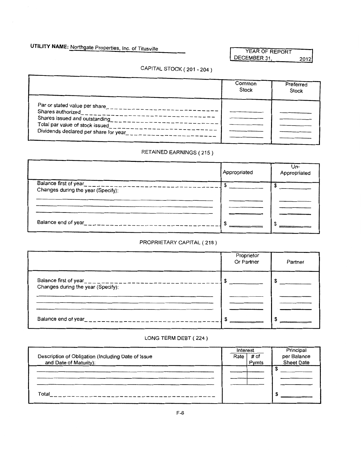## **UTILITY NAME:** Northgate Properties, Inc. of Titusville

YEAR OF REPORT DECEMBER 31, 2012

## CAPITAL STOCK ( 201-204)

|                                                       | Common<br>Stock | Preferred<br>Stock |
|-------------------------------------------------------|-----------------|--------------------|
| Par or stated value per share                         |                 |                    |
| Shares authorized                                     |                 |                    |
| Shares issued and outstanding                         |                 |                    |
| Total par value of stock issued                       |                 |                    |
| Dividends declared per share for year<br>$z = -z - z$ |                 |                    |
|                                                       |                 |                    |
|                                                       |                 |                    |

### RETAINED EARNINGS ( 215)

|                                    | Appropriated | Un-<br>Appropriated |
|------------------------------------|--------------|---------------------|
| Balance first of year              |              |                     |
| Changes during the year (Specify): |              |                     |
|                                    |              |                     |
|                                    |              |                     |
|                                    |              |                     |
| Balance end of year____________    |              |                     |

### PROPRIETARY CAPITAL ( 218)

|                                        | Proprietor<br>Or Partner | Partner |
|----------------------------------------|--------------------------|---------|
| Changes during the year (Specify):     |                          |         |
|                                        |                          |         |
| Balance end of year___________________ |                          |         |

#### LONG TERM DEBT ( 224 )

|                                                    | Interest |       | Principal         |
|----------------------------------------------------|----------|-------|-------------------|
| Description of Obligation (Including Date of Issue | Rate     | # of  | per Balance       |
| and Date of Maturity).                             |          | Pymts | <b>Sheet Date</b> |
|                                                    |          |       |                   |
|                                                    |          |       |                   |
|                                                    |          |       |                   |
| Total                                              |          |       |                   |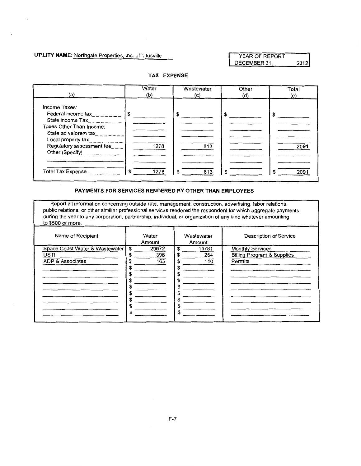**UTILITY NAME:** Northgate Properties, Inc. of Titusville

YEAR OF REPORT DECEMBER 31, 2012

#### **TAX EXPENSE**

| (a)                                                                                                                                                                                                                                                                             | Water              | Wastewater      | Other | Total             |
|---------------------------------------------------------------------------------------------------------------------------------------------------------------------------------------------------------------------------------------------------------------------------------|--------------------|-----------------|-------|-------------------|
|                                                                                                                                                                                                                                                                                 | (b)                | (c)             | (d)   | (e)               |
| Income Taxes:<br>Federal income tax________<br>State income $\text{Tax}_{\text{max}} = \frac{1}{2}$<br>Taxes Other Than Income:<br>State ad valorem tax<br>Local property tax_________<br>Regulatory assessment fee___<br>Other (Specify)__________<br><b>Total Tax Expense</b> | 1278<br>1278<br>\$ | 813<br>813<br>S |       | 2091<br>209<br>£. |

#### **PAYMENTS FOR SERVICES RENDERED BY OTHER THAN EMPLOYEES**

Report all information concerning outside rate, management, construction, advertising, labor relations, public relations, or other similiar professional services rendered the respondent for which aggregate payments during the year to any corporation, partnership, individual, or organization of any kind whatever amounting to \$500 or more.

| Name of Recipient                                                            | Water<br>Amount                | Wastewater<br>Amount                                      | Description of Service                                                      |
|------------------------------------------------------------------------------|--------------------------------|-----------------------------------------------------------|-----------------------------------------------------------------------------|
| Space Coast Water & Wastewater<br><b>USTI</b><br><b>ADP &amp; Associates</b> | \$<br>20672<br>396<br>165<br>S | 13781<br>\$<br>S<br>264<br>110<br>\$<br>S<br>э<br>٦.<br>S | <b>Monthly Services</b><br><b>Billing Program &amp; Supplies</b><br>Permits |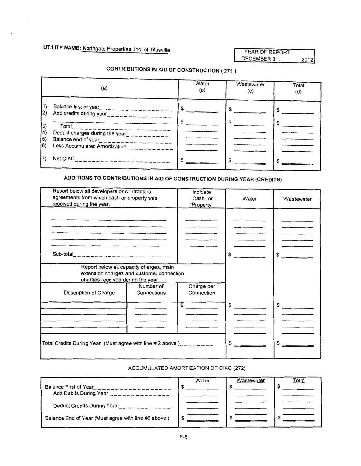#### YEAR OF REPORT DECEMBER 31, 2012

## **CONTRIBUTIONS IN AID OF CONSTRUCTION ( 271** )

|                                                     | (a)                                                                                                                                                                                               | Water<br>(b) | Wastewater<br>(c) | Total<br>(d) |
|-----------------------------------------------------|---------------------------------------------------------------------------------------------------------------------------------------------------------------------------------------------------|--------------|-------------------|--------------|
| 11)<br>2)<br>$ 3\rangle$<br>$\vert 4 \rangle$<br>(5 | Balance first of year<br><u>__________________</u><br>Add credits during year_________________<br>Total<br>Deduct charges during the year____________<br>Balance end of year_____________________ |              |                   |              |
| 16)                                                 | Less Accumulated Amortization____________<br>Net CIAC__________________                                                                                                                           |              |                   |              |

### **ADDITIONS TO CONTRIBUTIONS IN AID OF CONSTRUCTION DURING YEAR (CREDITS)**

| Report below all developers or contractors<br>agreements from which cash or property was<br>received during the year. |                                                                                      | Indicate<br>"Cash" or<br>"Property" | Water | Wastewater    |
|-----------------------------------------------------------------------------------------------------------------------|--------------------------------------------------------------------------------------|-------------------------------------|-------|---------------|
|                                                                                                                       |                                                                                      |                                     |       |               |
|                                                                                                                       |                                                                                      |                                     |       |               |
| Sub-total_________________________                                                                                    |                                                                                      |                                     | £.    | \$            |
| charges received during the year.                                                                                     | Report below all capacity charges, main<br>extension charges and customer connection |                                     |       |               |
| Description of Charge                                                                                                 | Number of<br>Connections                                                             | Charge per<br>Connection            |       |               |
|                                                                                                                       |                                                                                      | $\frac{1}{2}$                       | \$    | $\frac{1}{2}$ |
|                                                                                                                       |                                                                                      |                                     |       |               |
| Total Credits During Year (Must agree with line # 2 above.) $\mu$                                                     |                                                                                      |                                     |       |               |
|                                                                                                                       |                                                                                      |                                     |       |               |

#### ACCUMULATED AMORTIZATION OF CIAC (272)

| Balance First of Year                                  | Water | Wastewater | Total |
|--------------------------------------------------------|-------|------------|-------|
| Add Debits During Year:<br>Deduct Credits During Year: |       |            |       |
| Balance End of Year (Must agree with line #6 above.)   |       |            |       |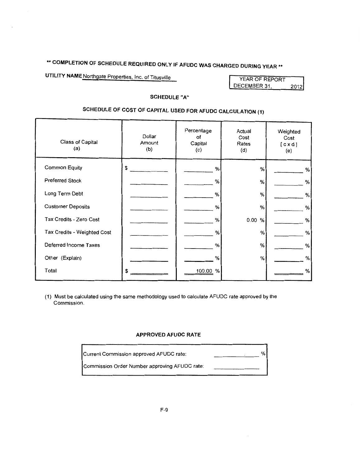# \*\* COMPLETION OF SCHEDULE REQUIRED ONLY IF AFUDC WAS CHARGED DURING YEAR \*\*

**UTILITY NAME Northgate Properties, Inc. of Titusville** 

| YEAR OF REPORT |      |
|----------------|------|
| DECEMBER 31,   | 2012 |

#### **SCHEDULE "A"**

## **SCHEDULE OF COST OF CAPITAL USED FOR AFUDC CALCULATION (1)**

| Class of Capital<br>(a)     | Dollar<br>Amount<br>(b) | Percentage<br>οf<br>Capital<br>(c) | Actual<br>Cost<br>Rates<br>(d) | Weighted<br>Cost<br>[ c x d ]<br>(e) |
|-----------------------------|-------------------------|------------------------------------|--------------------------------|--------------------------------------|
| <b>Common Equity</b>        | \$                      | %                                  | %                              | $\%$                                 |
| <b>Preferred Stock</b>      |                         | %                                  | %                              | %                                    |
| Long Term Debt              |                         | %                                  | %                              | %                                    |
| <b>Customer Deposits</b>    |                         | %                                  | %                              | %                                    |
| Tax Credits - Zero Cost     |                         | %                                  | 0.00<br>%                      | %                                    |
| Tax Credits - Weighted Cost |                         | %                                  | %                              | %                                    |
| Deferred Income Taxes       |                         | %                                  | %                              | $\%$                                 |
| Other (Explain)             |                         | %                                  | $\%$                           | %                                    |
| Total                       | \$                      | 100.00 %                           |                                | %                                    |

(1) Must be calculated using the same methodology used to calculate AFUDC rate approved by the Commission.

#### **APPROVED AFUDC RATE**

| Current Commission approved AFUDC rate:       | % |
|-----------------------------------------------|---|
| Commission Order Number approving AFUDC rate: |   |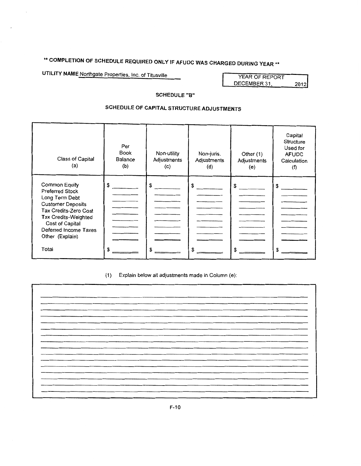# **\*\*COMPLETION OF SCHEDULE REQUIRED ONLY IF AFUDC WAS CHARGED DURING YEAR\*\***

**UTILITY NAME Northgate Properties, Inc. of Titusville** 

| YEAR OF REPORT |      |
|----------------|------|
| DECEMBER 31,   | 2012 |

#### **SCHEDULE "B"**

### **SCHEDULE OF CAPITAL STRUCTURE ADJUSTMENTS**

| Class of Capital<br>(a)                                                                                                                                                                                                      | Per<br>Book<br>Balance<br>(b) | Non-utility<br>Adjustments<br>(c) | Non-juris.<br>Adjustments<br>(d) | Other (1)<br>Adjustments<br>(e) | Capital<br>Structure<br>Used for<br><b>AFUDC</b><br>Calculation<br>(f) |
|------------------------------------------------------------------------------------------------------------------------------------------------------------------------------------------------------------------------------|-------------------------------|-----------------------------------|----------------------------------|---------------------------------|------------------------------------------------------------------------|
| <b>Common Equity</b><br><b>Preferred Stock</b><br>Long Term Debt<br><b>Customer Deposits</b><br>Tax Credits-Zero Cost<br><b>Tax Credits-Weighted</b><br>Cost of Capital<br>Deferred Income Taxes<br>Other (Explain)<br>Total | \$<br>S                       | \$                                | \$<br>\$                         | \$<br>£.                        | \$<br>٩                                                                |

(1) Explain below all adjustments made in Column (e):

|                   | ----- |  |
|-------------------|-------|--|
|                   |       |  |
|                   |       |  |
|                   |       |  |
|                   |       |  |
|                   |       |  |
|                   |       |  |
|                   |       |  |
|                   |       |  |
|                   |       |  |
|                   |       |  |
|                   |       |  |
|                   |       |  |
| _____             |       |  |
|                   |       |  |
|                   |       |  |
|                   |       |  |
|                   |       |  |
|                   |       |  |
|                   |       |  |
|                   |       |  |
|                   |       |  |
|                   |       |  |
|                   |       |  |
|                   |       |  |
|                   |       |  |
|                   |       |  |
|                   |       |  |
|                   |       |  |
|                   |       |  |
| <b>CONTRACTOR</b> |       |  |
|                   |       |  |
|                   |       |  |
|                   |       |  |
|                   |       |  |
|                   |       |  |
|                   |       |  |
|                   |       |  |
|                   |       |  |
|                   |       |  |
|                   |       |  |
|                   |       |  |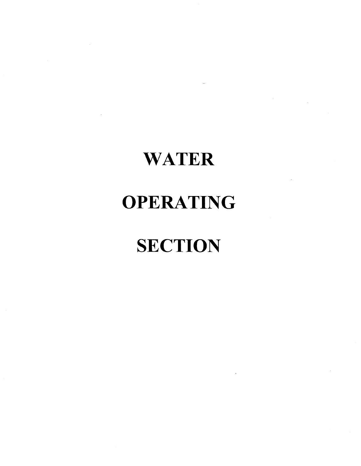# **WATER**

# **OPERATING**

# **SECTION**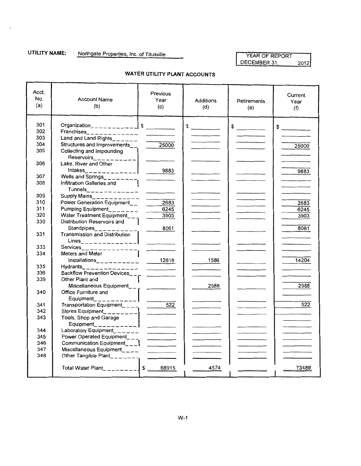## UTILITY NAME: Northgate Properties, Inc. of Titusville **WARENT ARESESSED AT A VEAR OF REPORT**

# DECEMBER 31, 2012

| Acct.<br>No.<br>(a) | <b>Account Name</b><br>(b)                               | Previous<br>Year<br>(c)                                                                                                                                                                                                                                                                                                                                                                                                                                                    | Additions<br>(d) | Retirements<br>(e) | Current<br>Year<br>(f)   |
|---------------------|----------------------------------------------------------|----------------------------------------------------------------------------------------------------------------------------------------------------------------------------------------------------------------------------------------------------------------------------------------------------------------------------------------------------------------------------------------------------------------------------------------------------------------------------|------------------|--------------------|--------------------------|
| 301                 | Organization_ _ _ _ _ _ _ _ _ _ _ _ _ _ _ _ _ _ _        |                                                                                                                                                                                                                                                                                                                                                                                                                                                                            | $\frac{1}{2}$    | $\frac{1}{2}$      |                          |
| 302                 |                                                          |                                                                                                                                                                                                                                                                                                                                                                                                                                                                            |                  |                    | $\frac{1}{2}$            |
| 303                 | Land and Land Rights_______                              |                                                                                                                                                                                                                                                                                                                                                                                                                                                                            |                  |                    |                          |
| 304                 | Structures and Improvements___                           | 25000                                                                                                                                                                                                                                                                                                                                                                                                                                                                      |                  |                    | 25000                    |
| 305                 | Collecting and Impounding                                |                                                                                                                                                                                                                                                                                                                                                                                                                                                                            |                  |                    |                          |
| 306                 | Lake, River and Other                                    |                                                                                                                                                                                                                                                                                                                                                                                                                                                                            |                  |                    | 9883                     |
| 307                 |                                                          |                                                                                                                                                                                                                                                                                                                                                                                                                                                                            |                  |                    |                          |
| 308                 | Infiltration Galleries and<br>$Tunnels_{\text{max}}$     |                                                                                                                                                                                                                                                                                                                                                                                                                                                                            |                  |                    |                          |
| 309                 |                                                          |                                                                                                                                                                                                                                                                                                                                                                                                                                                                            |                  |                    |                          |
| 310                 | Power Generation Equipment_                              | 2683                                                                                                                                                                                                                                                                                                                                                                                                                                                                       |                  |                    | 2683                     |
| 311                 | Pumping Equipment________                                | 6245                                                                                                                                                                                                                                                                                                                                                                                                                                                                       |                  |                    | 6245                     |
| 320                 | Water Treatment Equipment___                             | 3903                                                                                                                                                                                                                                                                                                                                                                                                                                                                       |                  |                    | 3903                     |
| 330                 | Distribution Reservoirs and  <br>Standpipes_________     | 8061                                                                                                                                                                                                                                                                                                                                                                                                                                                                       |                  |                    | 8061                     |
| 331                 | Transmission and Distribution                            | $\frac{1}{2} \left( \frac{1}{2} \frac{1}{2} \frac{1}{2} \frac{1}{2} \frac{1}{2} \frac{1}{2} \frac{1}{2} \frac{1}{2} \frac{1}{2} \frac{1}{2} \frac{1}{2} \frac{1}{2} \frac{1}{2} \frac{1}{2} \frac{1}{2} \frac{1}{2} \frac{1}{2} \frac{1}{2} \frac{1}{2} \frac{1}{2} \frac{1}{2} \frac{1}{2} \frac{1}{2} \frac{1}{2} \frac{1}{2} \frac{1}{2} \frac{1}{2} \frac{1}{2} \frac{1}{2} \frac{1}{2}$                                                                               |                  |                    |                          |
| 333                 | Services <sub>2</sub> _ _ _ _ _ _ _ _ _ _ _ _ _ _        |                                                                                                                                                                                                                                                                                                                                                                                                                                                                            |                  |                    |                          |
| 334                 | Meters and Meter                                         |                                                                                                                                                                                                                                                                                                                                                                                                                                                                            | $- 1586$         |                    | 14204                    |
| 335                 | Hydrants______________                                   |                                                                                                                                                                                                                                                                                                                                                                                                                                                                            |                  |                    |                          |
| 336                 | Backflow Prevention Devices____ __                       |                                                                                                                                                                                                                                                                                                                                                                                                                                                                            |                  |                    |                          |
| 339                 | Other Plant and<br>Miscellaneous Equipment_ $\text{---}$ |                                                                                                                                                                                                                                                                                                                                                                                                                                                                            | 2988             |                    | 2988                     |
| 340                 | Office Furniture and<br>Equipment____________            |                                                                                                                                                                                                                                                                                                                                                                                                                                                                            |                  |                    |                          |
| 341                 | Transportation Equipment____                             |                                                                                                                                                                                                                                                                                                                                                                                                                                                                            |                  |                    | 522                      |
| 342                 | Stores Equipment_________                                | $\frac{1}{2} \left( \frac{1}{2} \right) \left( \frac{1}{2} \right) \left( \frac{1}{2} \right) \left( \frac{1}{2} \right) \left( \frac{1}{2} \right) \left( \frac{1}{2} \right) \left( \frac{1}{2} \right) \left( \frac{1}{2} \right) \left( \frac{1}{2} \right) \left( \frac{1}{2} \right) \left( \frac{1}{2} \right) \left( \frac{1}{2} \right) \left( \frac{1}{2} \right) \left( \frac{1}{2} \right) \left( \frac{1}{2} \right) \left( \frac{1}{2} \right) \left( \frac$ |                  |                    |                          |
| 343                 | Tools, Shop and Garage<br>Equipment___________           | <b>Contract Contract</b>                                                                                                                                                                                                                                                                                                                                                                                                                                                   |                  |                    | <b>Contract Contract</b> |
| 344                 | Laboratory Equipment______                               |                                                                                                                                                                                                                                                                                                                                                                                                                                                                            |                  |                    |                          |
| 345                 | Power Operated Equipment____                             |                                                                                                                                                                                                                                                                                                                                                                                                                                                                            |                  |                    |                          |
| 346                 | Communication Equipment___                               | $\frac{1}{2}$                                                                                                                                                                                                                                                                                                                                                                                                                                                              |                  |                    |                          |
| 347                 | Miscellaneous Equipment____                              |                                                                                                                                                                                                                                                                                                                                                                                                                                                                            |                  |                    |                          |
| 348                 | Other Tangible Plant_______                              |                                                                                                                                                                                                                                                                                                                                                                                                                                                                            |                  |                    |                          |
|                     |                                                          |                                                                                                                                                                                                                                                                                                                                                                                                                                                                            | 4574             |                    | 73489                    |

#### **WATER UTILITY PLANT ACCOUNTS**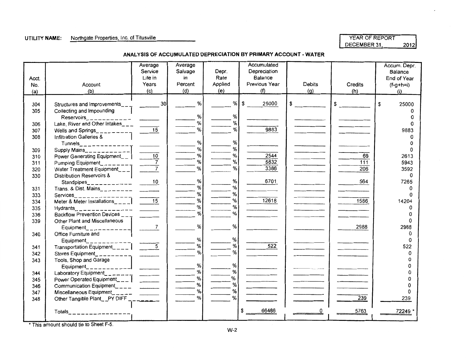#### UTILITY NAME: Northgate Properties, Inc. of Titusville

| YEAR OF REPORT |      |
|----------------|------|
| DECEMBER 31.   | 2012 |

#### ANALYSIS OF ACCUMULATED DEPRECIATION BY PRIMARY ACCOUNT- WATER

|       |                                                                  | Average<br>Service | Average<br>Salvage | Depr.   | Accumulated<br>Depreciation |        |         | Accum. Depr.<br><b>Balance</b> |
|-------|------------------------------------------------------------------|--------------------|--------------------|---------|-----------------------------|--------|---------|--------------------------------|
| Acct. |                                                                  | Life in            | in                 | Rate    | Balance                     |        |         | End of Year                    |
| No.   | Account                                                          | Years              | Percent            | Applied | Previous Year               | Debits | Credits | $(f-g+h=i)$                    |
| (a)   | (b)                                                              | (c)                | (d)                | (e)     | (f)                         | (g)    | (h)     | (i)                            |
|       |                                                                  |                    |                    |         |                             |        |         |                                |
| 304   | Structures and Improvements $\frac{1}{2}$ 20 $\frac{1}{2}$       |                    | %                  | %       | \$<br>25000                 | \$     | \$      | \$<br>25000                    |
| 305   | Collecting and Impounding                                        |                    |                    |         |                             |        |         |                                |
|       |                                                                  |                    | %                  | %       |                             |        |         |                                |
| 306   |                                                                  |                    | %                  | %       |                             |        |         |                                |
| 307   |                                                                  | 15                 | ℅                  | %       | 9883                        |        |         | 9883                           |
| 308   | Infiltration Galleries &                                         |                    |                    |         |                             |        |         |                                |
|       |                                                                  |                    | %                  | %       |                             |        |         |                                |
| 309   |                                                                  |                    | %                  | %       |                             |        |         |                                |
| 310   | Power Generating Equipment_ _                                    | $\overline{10}$    | ℅                  | %       | 2544                        |        | 69      | 2613                           |
| 311   | Pumping Equipment__                                              |                    | %                  | %       | 5832                        |        | 111     | 5943                           |
| 320   | Water Treatment Equipment___                                     |                    | %                  | %       | 3386                        |        | 206     | 3592                           |
| 330   | <b>Distribution Reservoirs &amp;</b>                             |                    |                    |         |                             |        |         | 0                              |
|       |                                                                  |                    | ℅                  | %       | 6701                        |        | 564     | 7265                           |
| 331   |                                                                  |                    | %                  | %       |                             |        |         |                                |
| 333   |                                                                  |                    | ℅                  | %       |                             |        |         | O                              |
| 334   | Services________________<br>Meter & Meter Installations_____  15 |                    | %                  | %       | 12618                       |        | 1586    | 14204                          |
| 335   |                                                                  |                    | $\frac{1}{2}$      | %       |                             |        |         | <sup>0</sup>                   |
| 336   | Backflow Prevention Devices ____ ________                        |                    | %                  | %       |                             |        |         | O                              |
| 339   | Other Plant and Miscellaneous                                    |                    |                    |         |                             |        |         | 0                              |
|       |                                                                  |                    | %                  | %       |                             |        | 2988    | 2988                           |
| 340   | Office Furniture and                                             |                    |                    |         |                             |        |         | 0                              |
|       |                                                                  |                    | %                  | %       |                             |        |         | $\Omega$                       |
| 341   |                                                                  |                    | ℅                  | %       | 522                         |        |         | 522                            |
| 342   | Stores Equipment__________                                       |                    | %                  | %       |                             |        |         | <sup>0</sup>                   |
| 343   | Tools, Shop and Garage                                           |                    |                    |         |                             |        |         | <sup>n</sup>                   |
|       |                                                                  |                    | %                  | %       |                             |        |         | 0                              |
| 344   |                                                                  |                    | %                  | %       |                             |        |         | 0                              |
| 345   | Power Operated Equipment <sub>24</sub>                           |                    | %                  | ℅       |                             |        |         | O                              |
| 346   |                                                                  |                    | %                  | %       |                             |        |         | O                              |
| 347   |                                                                  |                    | %                  | %       |                             |        |         | $\Omega$                       |
| 348   | Other Tangible Plant__PY DIFF_______                             |                    | %                  |         |                             |        | 239     | 239                            |
|       |                                                                  |                    |                    |         |                             |        |         |                                |
|       | Totals                                                           |                    |                    |         | 66486                       |        | 5763    | 72249                          |
|       |                                                                  |                    |                    |         |                             |        |         |                                |

\*This amount should tie to Sheet F-5.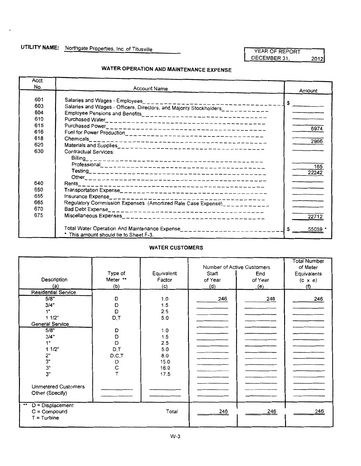DECEMBER 31, 2012

### **WATER OPERATION AND MAINTENANCE EXPENSE**

| Acct.             |                                                                                                                    |              |
|-------------------|--------------------------------------------------------------------------------------------------------------------|--------------|
| No.               | <b>Account Name</b>                                                                                                | Amount       |
| 601<br>603<br>604 | Salaries and Wages - Employees<br>Salaries and Wages - Officers, Directors, and Majority Stockholders____________  | \$           |
| 610<br>615        |                                                                                                                    |              |
| 616               |                                                                                                                    | 6974         |
| 618<br>620        |                                                                                                                    | 2966         |
| 630               | Contractual Services:                                                                                              |              |
|                   |                                                                                                                    | 165<br>22242 |
| 640               |                                                                                                                    |              |
| 650               |                                                                                                                    |              |
| 655               | Insurance Expense______________________                                                                            |              |
| 665               | Regulatory Commission Expenses (Amortized Rate Case Expense)___________                                            |              |
| 670               |                                                                                                                    |              |
| 675               |                                                                                                                    | 22712        |
|                   | Total Water Operation And Maintenance Expense_____________________________<br>This amount should tie to Sheet F-3. | S<br>55059   |

#### **WATER CUSTOMERS**

|                            |          |            |         | Number of Active Customers | <b>Total Number</b><br>of Meter |
|----------------------------|----------|------------|---------|----------------------------|---------------------------------|
|                            | Type of  | Equivalent | Start   | End                        | Equivalents                     |
| Description                | Meter ** | Factor     | of Year | of Year                    | $(c \times e)$                  |
| (a)                        | (b)      | (c)        | (d)     | (e)                        | (f)                             |
| <b>Residential Service</b> |          |            |         |                            |                                 |
| 5/8"                       | D        | 1.0        | 246     | 246                        | 246                             |
| 3/4"                       | D        | 1.5        |         |                            |                                 |
| 1"                         | D        | 2.5        |         |                            |                                 |
| 1 1/2"                     | D, T     | 5.0        |         |                            |                                 |
| General Service            |          |            |         |                            |                                 |
| 5/8"                       | D        | 1.0        |         |                            |                                 |
| 3/4"                       | D        | 1.5        |         |                            |                                 |
| 1"                         | D        | 2.5        |         |                            |                                 |
| 11/2"                      | D,T      | 5.0        |         |                            |                                 |
| 2"                         | D, C, T  | 8.0        |         |                            |                                 |
| 3"                         | D        | 15.0       |         |                            |                                 |
| 3"                         | С        | 16.0       |         |                            |                                 |
| 3"                         |          | 17.5       |         |                            |                                 |
|                            |          |            |         |                            |                                 |
| <b>Unmetered Customers</b> |          |            |         |                            |                                 |
| Other (Specify)            |          |            |         |                            |                                 |
|                            |          |            |         |                            |                                 |
| D = Displacement<br>**     |          |            |         |                            |                                 |
| $C = Compound$             |          | Total      | 246     | 246                        | 246                             |
| $T =$ Turbine              |          |            |         |                            |                                 |
|                            |          |            |         |                            |                                 |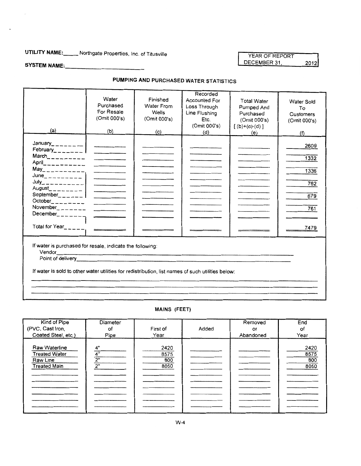## UTILITY NAME:\_\_\_\_\_ Northgate Properties, Inc. of Titusville

YEAR OF REPORT DECEMBER 31, 2012

### SYSTEM NAME:\_\_\_\_\_\_\_\_\_\_\_\_\_\_

### PUMPING AND PURCHASED WATER STATISTICS

| (a)                                                                                                                                                                                                                                                                                                                                                                                                                                                                                                                                                                                  | Water<br>Purchased<br>For Resale<br>(Omit 000's)<br>(b) | Finished<br>Water From<br>Wells<br>(Omit 000's)<br>(c) | Recorded<br><b>Accounted For</b><br>Loss Through<br>Line Flushing<br>Etc.<br>(Omit 000's)<br>(d) | <b>Total Water</b><br>Pumped And<br>Purchased<br>(Omit 000's)<br>$[{ (b)+(c)-(d) } ]$<br>(e) | <b>Water Sold</b><br>To<br>Customers<br>(Omit 000's)<br>(f) |
|--------------------------------------------------------------------------------------------------------------------------------------------------------------------------------------------------------------------------------------------------------------------------------------------------------------------------------------------------------------------------------------------------------------------------------------------------------------------------------------------------------------------------------------------------------------------------------------|---------------------------------------------------------|--------------------------------------------------------|--------------------------------------------------------------------------------------------------|----------------------------------------------------------------------------------------------|-------------------------------------------------------------|
| February_______<br>$June_{\_ \_ \_ \_ \_ \_ \_ \_ \_ \_ \_ \_ \_ \_ \_ \_ \_ \_ \_$<br>$July_{\leftarrow \, \, \text{---} \, \, \text{---} \, \, \text{---} \, \, \text{---} \, \, \text{---} \, \, \text{---} \, \, \text{---} \, \, \text{---} \, \, \text{---} \, \, \text{---} \, \, \text{---} \, \, \text{---} \, \, \text{---} \, \, \text{---} \, \, \text{---} \, \, \text{---} \, \, \text{---} \, \, \text{---} \, \, \text{---} \, \, \text{---} \, \, \text{---} \, \, \text{---} \, \, \text{---} \, \, \text{---$<br>$September$ _ _ _ _ _ _  <br>$December_{------}$ |                                                         |                                                        |                                                                                                  |                                                                                              | 2609<br>1332<br>1336<br>762<br>679<br>761<br>7479           |
| If water is purchased for resale, indicate the following:<br>If water is sold to other water utilities for redistribution, list names of such utilities below:                                                                                                                                                                                                                                                                                                                                                                                                                       |                                                         |                                                        |                                                                                                  |                                                                                              |                                                             |

#### MAINS (FEET)

| Kind of Pipe<br>(PVC, Cast Iron,<br>Coated Steel, etc.)                  | Diameter<br>of<br>Pipe | First of<br>Year            | Added | Removed<br>or<br>Abandoned | End<br>οf<br>Year           |
|--------------------------------------------------------------------------|------------------------|-----------------------------|-------|----------------------------|-----------------------------|
| Raw Waterline<br><b>Treated Water</b><br>Raw Line<br><b>Treated Main</b> | 4"<br>4"<br>2"<br>2"   | 2420<br>8575<br>800<br>8050 |       |                            | 2420<br>8575<br>800<br>8050 |
|                                                                          |                        |                             |       |                            |                             |
|                                                                          |                        |                             |       |                            |                             |
|                                                                          |                        |                             |       |                            |                             |
|                                                                          |                        |                             |       |                            |                             |
|                                                                          |                        |                             |       |                            |                             |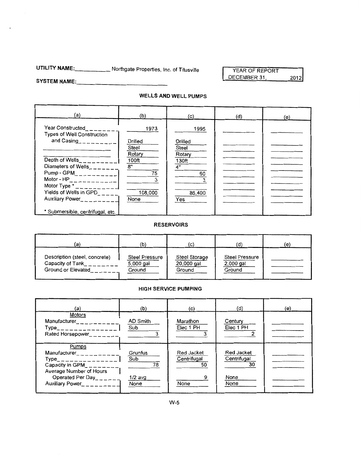## **UTILITY NAME: \_\_\_\_\_** Northgate Properties, Inc. of Titusville

YEAR OF REPORT DECEMBER 31, 2012

#### SYSTEM NAME:

#### **WELLS AND WELL PUMPS**

| (a)                                                                                                                                                                                                                   | (b)                                            | (c)                                          | (d) | (e) |
|-----------------------------------------------------------------------------------------------------------------------------------------------------------------------------------------------------------------------|------------------------------------------------|----------------------------------------------|-----|-----|
| Year Constructed<br><b>Types of Well Construction</b><br>and $Casing$ <sub>2</sub> $       -$                                                                                                                         | 1973<br>Drilled<br>Steel                       | 1995<br>Drilled<br>Steel                     |     |     |
| Depth of Wells_________<br>Diameters of Wells_ _ _ _ _ _<br>Pump - $GPM$ <sub>___________</sub><br>Motor - $HP_$ ___________<br>Motor Type $\star$ _ _ _ _ _ _ _ _ _<br>Yields of Wells in GPD____<br>Auxiliary Power | Rotary<br>100ft<br>8"<br>75<br>108,000<br>None | Rotary<br>130ft<br>4"<br>60<br>86,400<br>Yes |     |     |
| * Submersible, centrifugal, etc.                                                                                                                                                                                      |                                                |                                              |     |     |

#### **RESERVOIRS**

| (a)                           | (b)            | (c)           | (d)                   | (e) |
|-------------------------------|----------------|---------------|-----------------------|-----|
| Description (steel, concrete) | Steel Pressure | Steel Storage | <b>Steel Pressure</b> |     |
| Capacity of Tank              | 5,000 gal      | 20,000 gal    | $2,000$ gal           |     |
| Ground or Elevated            | Ground         | Ground        | Ground                |     |

#### **HIGH SERVICE PUMPING**

| (a)                                                                                                                                                                                    | (b)                                       | (c)                                     | (d)                                             | (e) |
|----------------------------------------------------------------------------------------------------------------------------------------------------------------------------------------|-------------------------------------------|-----------------------------------------|-------------------------------------------------|-----|
| Motors<br>Manufacturer____<br>$Type$ <sub>________________</sub><br>Rated Horsepower______                                                                                             | AD Smith<br>Sub                           | Marathon<br>Elec 1 PH                   | Century<br>Elec 1 PH                            |     |
| Pumps<br>Manufacturer_ _ _ _ _ _ _ _<br>Type_______________<br>Capacity in $GPM$ <sub>______</sub><br>Average Number of Hours<br>Operated Per Day_____<br>Auxiliary Power<br>$      -$ | Grunfus<br>Sub<br>78<br>$1/2$ avg<br>None | Red Jacket<br>Centrifugal<br>50<br>None | Red Jacket<br>Centrifugal<br>30<br>None<br>None |     |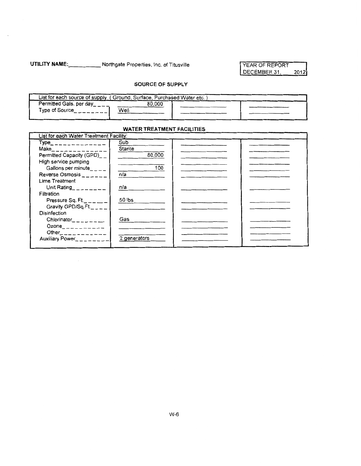UTILITY NAME: Northgate Properties, Inc. of Titusville VEAR OF REPORT

# DECEMBER 31, 2012

#### SOURCE OF SUPPLY

| List for each source of supply (Ground, Surface, Purchased Water etc.) |        |  |
|------------------------------------------------------------------------|--------|--|
| Permitted Gals. per day                                                | 80.000 |  |
| Type of Source                                                         | Well   |  |
|                                                                        |        |  |

### WATER TREATMENT FACILITIES

| List for each Water Treatment Facility:                                                                                                                                                                                                                                                                           |              |  |
|-------------------------------------------------------------------------------------------------------------------------------------------------------------------------------------------------------------------------------------------------------------------------------------------------------------------|--------------|--|
| $Type$ <sub>_______________</sub>                                                                                                                                                                                                                                                                                 | Sub          |  |
| $Make$ <sub>------------</sub>                                                                                                                                                                                                                                                                                    | Starite      |  |
| Permitted Capacity (GPD)                                                                                                                                                                                                                                                                                          | 80,000       |  |
| High service pumping                                                                                                                                                                                                                                                                                              |              |  |
| Gallons per minute_ $\mu =$                                                                                                                                                                                                                                                                                       | 100          |  |
| Reverse Osmosis $\frac{1}{2}$                                                                                                                                                                                                                                                                                     | n/a          |  |
| Lime Treatment                                                                                                                                                                                                                                                                                                    |              |  |
| Unit Rating $\frac{1}{2}$ $\frac{1}{2}$ $\frac{1}{2}$ $\frac{1}{2}$ $\frac{1}{2}$ $\frac{1}{2}$ $\frac{1}{2}$ $\frac{1}{2}$ $\frac{1}{2}$ $\frac{1}{2}$ $\frac{1}{2}$ $\frac{1}{2}$ $\frac{1}{2}$ $\frac{1}{2}$ $\frac{1}{2}$ $\frac{1}{2}$ $\frac{1}{2}$ $\frac{1}{2}$ $\frac{1}{2}$ $\frac{1}{2}$ $\frac{1}{2}$ | n/a          |  |
| Filtration                                                                                                                                                                                                                                                                                                        |              |  |
| Pressure Sq. Ft.                                                                                                                                                                                                                                                                                                  | 50 lbs       |  |
| Gravity GPD/Sq.Ft.                                                                                                                                                                                                                                                                                                |              |  |
| <b>Disinfection</b>                                                                                                                                                                                                                                                                                               |              |  |
| Chlorinator_______                                                                                                                                                                                                                                                                                                | Gas          |  |
| Ozone___________                                                                                                                                                                                                                                                                                                  |              |  |
| Other____________                                                                                                                                                                                                                                                                                                 |              |  |
| Auxiliary Power <sub>-1-----</sub>                                                                                                                                                                                                                                                                                | 2 generators |  |
|                                                                                                                                                                                                                                                                                                                   |              |  |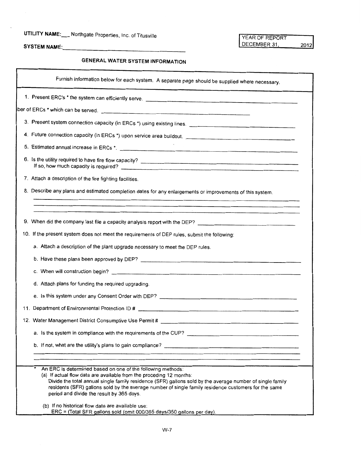# UTILITY NAME:\_\_\_ Northgate Properties, Inc. of Titusville YEAR OF REPORT YEAR OF REPORT SYSTEM NAME:

2012

SYSTEM NAME:\_\_\_\_

### **GENERAL WATER SYSTEM INFORMATION**

| Furnish information below for each system. A separate page should be supplied where necessary.                                                                                                                                                                                                                                                                                                       |
|------------------------------------------------------------------------------------------------------------------------------------------------------------------------------------------------------------------------------------------------------------------------------------------------------------------------------------------------------------------------------------------------------|
| 1. Present ERC's * the system can efficiently serve.                                                                                                                                                                                                                                                                                                                                                 |
|                                                                                                                                                                                                                                                                                                                                                                                                      |
| 3. Present system connection capacity (in ERCs *) using existing lines.                                                                                                                                                                                                                                                                                                                              |
|                                                                                                                                                                                                                                                                                                                                                                                                      |
|                                                                                                                                                                                                                                                                                                                                                                                                      |
| If so, how much capacity is required?                                                                                                                                                                                                                                                                                                                                                                |
| 7. Attach a description of the fire fighting facilities.                                                                                                                                                                                                                                                                                                                                             |
| 8. Describe any plans and estimated completion dates for any enlargements or improvements of this system.                                                                                                                                                                                                                                                                                            |
|                                                                                                                                                                                                                                                                                                                                                                                                      |
| 9. When did the company last file a capacity analysis report with the DEP? [144] [145] [145] [145] [145] [145] [145] [145] [145] [145] [145] [145] [145] [145] [145] [145] [145] [145] [145] [145] [145] [145] [145] [145] [14                                                                                                                                                                       |
| 10. If the present system does not meet the requirements of DEP rules, submit the following:                                                                                                                                                                                                                                                                                                         |
| a. Attach a description of the plant upgrade necessary to meet the DEP rules.                                                                                                                                                                                                                                                                                                                        |
|                                                                                                                                                                                                                                                                                                                                                                                                      |
|                                                                                                                                                                                                                                                                                                                                                                                                      |
| d. Attach plans for funding the required upgrading.                                                                                                                                                                                                                                                                                                                                                  |
|                                                                                                                                                                                                                                                                                                                                                                                                      |
|                                                                                                                                                                                                                                                                                                                                                                                                      |
|                                                                                                                                                                                                                                                                                                                                                                                                      |
|                                                                                                                                                                                                                                                                                                                                                                                                      |
|                                                                                                                                                                                                                                                                                                                                                                                                      |
|                                                                                                                                                                                                                                                                                                                                                                                                      |
| An ERC is determined based on one of the following methods:<br>(a) If actual flow data are available from the proceding 12 months:<br>Divide the total annual single family residence (SFR) gallons sold by the average number of single family<br>residents (SFR) gallons sold by the average number of single family residence customers for the same<br>period and divide the result by 365 days. |
| (b) If no historical flow data are available use:<br>$ERC = (Total SFR$ gallons sold (omit 000/365 days/350 gallons per day).                                                                                                                                                                                                                                                                        |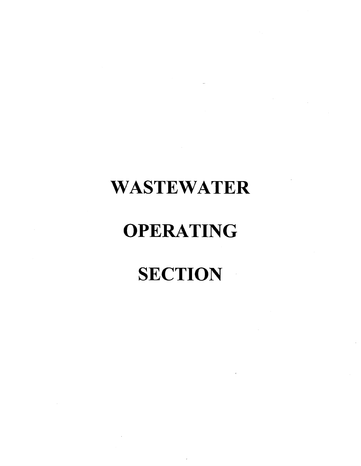# **WASTEWATER**

# **OPERATING**

# **SECTION**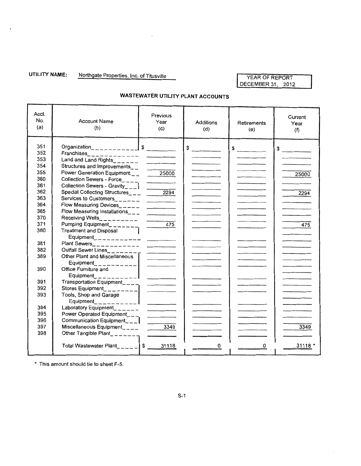**UTILITY NAME:** Northgate Properties, Inc. of Titusville

#### YEAR OF REPORT DECEMBER 31, 2012

| Acct.<br>No.<br>(a) | <b>Account Name</b><br>(b)                          | Previous<br>Year<br>(c)                                                                                                                                                                                                                                                                                                                                                                                                                                                    | Additions<br>(d) | Retirements<br>(e)                                                                                                                                                                                                                                                                                                                                                                                                   | Current<br>Year<br>(f) |
|---------------------|-----------------------------------------------------|----------------------------------------------------------------------------------------------------------------------------------------------------------------------------------------------------------------------------------------------------------------------------------------------------------------------------------------------------------------------------------------------------------------------------------------------------------------------------|------------------|----------------------------------------------------------------------------------------------------------------------------------------------------------------------------------------------------------------------------------------------------------------------------------------------------------------------------------------------------------------------------------------------------------------------|------------------------|
| 351                 |                                                     |                                                                                                                                                                                                                                                                                                                                                                                                                                                                            | $\frac{1}{2}$    | $\frac{1}{\sqrt{1-\frac{1}{2}}\sqrt{1-\frac{1}{2}}\sqrt{1-\frac{1}{2}}\sqrt{1-\frac{1}{2}}\sqrt{1-\frac{1}{2}}\sqrt{1-\frac{1}{2}}\sqrt{1-\frac{1}{2}}\sqrt{1-\frac{1}{2}}\sqrt{1-\frac{1}{2}}\sqrt{1-\frac{1}{2}}\sqrt{1-\frac{1}{2}}\sqrt{1-\frac{1}{2}}\sqrt{1-\frac{1}{2}}\sqrt{1-\frac{1}{2}}\sqrt{1-\frac{1}{2}}\sqrt{1-\frac{1}{2}}\sqrt{1-\frac{1}{2}}\sqrt{1-\frac{1}{2}}\sqrt{1-\frac{1}{2}}\sqrt{1-\frac$ | $\frac{1}{2}$          |
| 352                 |                                                     |                                                                                                                                                                                                                                                                                                                                                                                                                                                                            |                  |                                                                                                                                                                                                                                                                                                                                                                                                                      |                        |
| 353                 | Land and Land Rights_______                         |                                                                                                                                                                                                                                                                                                                                                                                                                                                                            |                  |                                                                                                                                                                                                                                                                                                                                                                                                                      |                        |
| 354                 | Structures and Improvements__                       |                                                                                                                                                                                                                                                                                                                                                                                                                                                                            |                  |                                                                                                                                                                                                                                                                                                                                                                                                                      |                        |
| 355                 | Power Generation Equipment $\overline{\phantom{a}}$ | 25000                                                                                                                                                                                                                                                                                                                                                                                                                                                                      |                  |                                                                                                                                                                                                                                                                                                                                                                                                                      | 25000                  |
| 360                 |                                                     |                                                                                                                                                                                                                                                                                                                                                                                                                                                                            |                  |                                                                                                                                                                                                                                                                                                                                                                                                                      |                        |
| 361                 | Collection Sewers - Gravity___ $\Box$               |                                                                                                                                                                                                                                                                                                                                                                                                                                                                            |                  |                                                                                                                                                                                                                                                                                                                                                                                                                      |                        |
| 362                 | Special Collecting Structures___ 2294               |                                                                                                                                                                                                                                                                                                                                                                                                                                                                            |                  |                                                                                                                                                                                                                                                                                                                                                                                                                      | 2294                   |
| 363                 |                                                     |                                                                                                                                                                                                                                                                                                                                                                                                                                                                            |                  |                                                                                                                                                                                                                                                                                                                                                                                                                      |                        |
| 364                 |                                                     |                                                                                                                                                                                                                                                                                                                                                                                                                                                                            |                  |                                                                                                                                                                                                                                                                                                                                                                                                                      |                        |
| 365                 | Flow Measuring Installations_ $-$                   | the control of the con-                                                                                                                                                                                                                                                                                                                                                                                                                                                    |                  |                                                                                                                                                                                                                                                                                                                                                                                                                      |                        |
| 370                 |                                                     |                                                                                                                                                                                                                                                                                                                                                                                                                                                                            |                  |                                                                                                                                                                                                                                                                                                                                                                                                                      |                        |
| 371                 | Pumping Equipment________                           | 475                                                                                                                                                                                                                                                                                                                                                                                                                                                                        |                  |                                                                                                                                                                                                                                                                                                                                                                                                                      | 475                    |
| 380                 | Treatment and Disposal                              |                                                                                                                                                                                                                                                                                                                                                                                                                                                                            |                  |                                                                                                                                                                                                                                                                                                                                                                                                                      |                        |
|                     |                                                     |                                                                                                                                                                                                                                                                                                                                                                                                                                                                            |                  |                                                                                                                                                                                                                                                                                                                                                                                                                      |                        |
| 381                 |                                                     |                                                                                                                                                                                                                                                                                                                                                                                                                                                                            |                  |                                                                                                                                                                                                                                                                                                                                                                                                                      |                        |
| 382                 | Outfall Sewer Lines_______                          |                                                                                                                                                                                                                                                                                                                                                                                                                                                                            |                  |                                                                                                                                                                                                                                                                                                                                                                                                                      |                        |
| 389                 | Other Plant and Miscellaneous                       |                                                                                                                                                                                                                                                                                                                                                                                                                                                                            |                  |                                                                                                                                                                                                                                                                                                                                                                                                                      |                        |
|                     | Equipment___________                                |                                                                                                                                                                                                                                                                                                                                                                                                                                                                            |                  |                                                                                                                                                                                                                                                                                                                                                                                                                      |                        |
| 390                 | Office Furniture and                                |                                                                                                                                                                                                                                                                                                                                                                                                                                                                            |                  |                                                                                                                                                                                                                                                                                                                                                                                                                      |                        |
|                     | Equipment_ $_{---}$                                 |                                                                                                                                                                                                                                                                                                                                                                                                                                                                            |                  |                                                                                                                                                                                                                                                                                                                                                                                                                      |                        |
| 391                 | Transportation Equipment____                        |                                                                                                                                                                                                                                                                                                                                                                                                                                                                            |                  |                                                                                                                                                                                                                                                                                                                                                                                                                      |                        |
| 392                 | Stores Equipment_________                           | $\frac{1}{2} \left( \frac{1}{2} \right) \left( \frac{1}{2} \right) \left( \frac{1}{2} \right) \left( \frac{1}{2} \right) \left( \frac{1}{2} \right) \left( \frac{1}{2} \right) \left( \frac{1}{2} \right) \left( \frac{1}{2} \right) \left( \frac{1}{2} \right) \left( \frac{1}{2} \right) \left( \frac{1}{2} \right) \left( \frac{1}{2} \right) \left( \frac{1}{2} \right) \left( \frac{1}{2} \right) \left( \frac{1}{2} \right) \left( \frac{1}{2} \right) \left( \frac$ |                  |                                                                                                                                                                                                                                                                                                                                                                                                                      |                        |
| 393                 | Tools, Shop and Garage                              |                                                                                                                                                                                                                                                                                                                                                                                                                                                                            |                  |                                                                                                                                                                                                                                                                                                                                                                                                                      |                        |
|                     |                                                     |                                                                                                                                                                                                                                                                                                                                                                                                                                                                            |                  |                                                                                                                                                                                                                                                                                                                                                                                                                      |                        |
| 394                 | Laboratory Equipment______                          |                                                                                                                                                                                                                                                                                                                                                                                                                                                                            |                  |                                                                                                                                                                                                                                                                                                                                                                                                                      |                        |
| 395                 | Power Operated Equipment____                        |                                                                                                                                                                                                                                                                                                                                                                                                                                                                            |                  |                                                                                                                                                                                                                                                                                                                                                                                                                      |                        |
| 396                 | Communication Equipment___                          |                                                                                                                                                                                                                                                                                                                                                                                                                                                                            |                  |                                                                                                                                                                                                                                                                                                                                                                                                                      |                        |
| 397                 | Miscellaneous Equipment____ $\frac{3349}{256}$      |                                                                                                                                                                                                                                                                                                                                                                                                                                                                            |                  |                                                                                                                                                                                                                                                                                                                                                                                                                      | 3349                   |
| 398                 | Other Tangible Plant________                        |                                                                                                                                                                                                                                                                                                                                                                                                                                                                            |                  |                                                                                                                                                                                                                                                                                                                                                                                                                      |                        |
|                     |                                                     |                                                                                                                                                                                                                                                                                                                                                                                                                                                                            | n                | 0                                                                                                                                                                                                                                                                                                                                                                                                                    | 31118                  |

#### **WASTEWATER UTILITY PLANT ACCOUNTS**

\* This amount should tie to sheet F-5.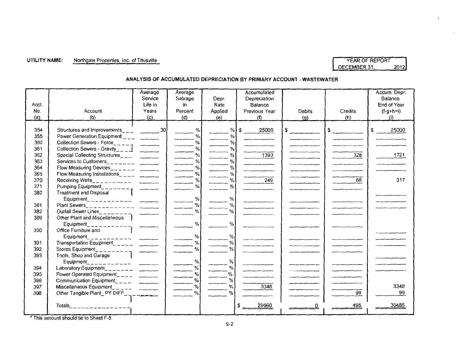#### UTILITY NAME: Northgate Properties, Inc. of Titusville **Name of Accord Properties** VEAR OF REPORT

# DECEMBER 31, 2012

#### **ANALYSIS OF ACCUMULATED DEPRECIATION BY PRIMARY ACCOUNT- WASTEWATER**

| Acct.<br>No.<br>(a)                                  | Account<br>(b)                                                                                                                | Average<br>Service<br>Life in<br>Years<br>$\langle c \rangle$ | Average<br>Salvage<br>in<br>Percent<br>(d) | Depr.<br>Rate<br>Applied<br>(e)                                             | Accumulated<br>Depreciation<br>Balance<br>Previous Year<br>(f) | Debits<br>(q)             | Credits<br>(h)      | Accum. Depr.<br>Balance<br>End of Year<br>$(f-g+h=i)$<br>(i) |
|------------------------------------------------------|-------------------------------------------------------------------------------------------------------------------------------|---------------------------------------------------------------|--------------------------------------------|-----------------------------------------------------------------------------|----------------------------------------------------------------|---------------------------|---------------------|--------------------------------------------------------------|
| 354<br>355<br>360<br>361<br>362<br>363<br>364<br>365 | Power Generation Equipment $\frac{1}{2}$<br>Collection Sewers - Force<br>Collection Sewers - Gravity                          |                                                               | %<br>$\%$<br>%<br>%<br>$\%$<br>%<br>%<br>% | %<br>$\%$<br>$\frac{9}{6}$<br>$\%$<br>$\%$<br>$\%$<br>$\frac{9}{6}$<br>$\%$ | \$<br>25000<br>1393                                            | $\sim$<br>and the company | $\mathsf{S}$<br>328 | 25000<br>S<br>1721                                           |
| 370<br>371<br>380                                    | <b>Treatment and Disposal</b><br>Equipment_ _ _ _ _ _ _ _ _ _ _ _ _ _ _ _ _ _ _                                               |                                                               | %<br>$\frac{0}{0}$<br>$\%$                 | $\frac{0}{0}$<br>$\%$<br>%                                                  | 249                                                            |                           | 68                  | 317                                                          |
| 381<br>382<br>389                                    | Outfall Sewer Lines<br>Other Plant and Miscellaneous                                                                          |                                                               | %<br>$\frac{9}{6}$                         | %<br>$\%$                                                                   |                                                                |                           |                     |                                                              |
| 390<br>391                                           | Equipment<br>Office Furniture and<br>Equipment<br>Transportation Equipment                                                    |                                                               | %<br>%<br>$\%$                             | $\%$<br>%<br>$\%$                                                           |                                                                |                           |                     |                                                              |
| 392<br>393<br>394                                    | Stores Equipment<br>Tools, Shop and Garage<br>$Equipment$ <sub>-------</sub> -------<br>Laboratory Equipment<br>$\frac{1}{2}$ |                                                               | $\%$<br>$\%$<br>%                          | %<br>$\%$<br>%                                                              |                                                                |                           |                     |                                                              |
| 395<br>396<br>397<br>398                             | Other Tangible Plant_PY DIFF__________                                                                                        |                                                               | %<br>%<br>$\%$<br>$\%$                     | %<br>%<br>$\%$<br>%                                                         | 3348                                                           |                           | 99                  | 3348<br>99                                                   |
|                                                      | Totals<br>$---------------------$                                                                                             |                                                               |                                            |                                                                             | 29990                                                          |                           | 495                 | 30485                                                        |

• This amount should tie to Sheet F-5.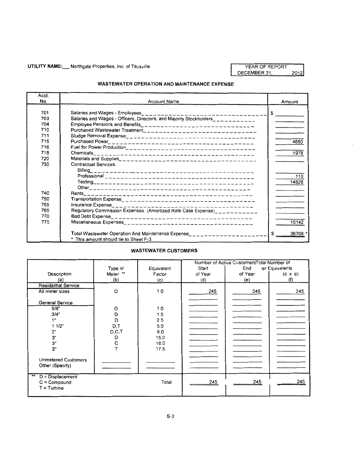#### UTILITY NAME: Northgate Properties, Inc. of Titusville YEAR OF REPORT

DECEMBER 31,  $2012$ 

#### **WASTEWATER OPERATION AND MAINTENANCE EXPENSE**

| Acct. |                                                                                  |               |
|-------|----------------------------------------------------------------------------------|---------------|
| No.   | <b>Account Name</b>                                                              | Amount        |
| 701   |                                                                                  | $\frac{1}{2}$ |
| 703   | Salaries and Wages - Officers, Directors, and Majority Stockholders____________  |               |
| 704   |                                                                                  |               |
| 710   |                                                                                  |               |
| 711   |                                                                                  |               |
| 715   |                                                                                  | 4650          |
| 716   |                                                                                  |               |
| 718   |                                                                                  | 1978          |
| 720   |                                                                                  |               |
| 730   | Contractual Services:                                                            |               |
|       | Billing                                                                          |               |
|       |                                                                                  | 110           |
|       |                                                                                  | 14828         |
|       |                                                                                  |               |
| 740   |                                                                                  |               |
| 750   |                                                                                  |               |
| 755   |                                                                                  |               |
| 765   | Regulatory Commission Expenses (Amortized Rate Case Expense)                     |               |
| 770   |                                                                                  |               |
| 775   |                                                                                  | 15142         |
|       |                                                                                  |               |
|       | Total Wastewater Operation And Maintenance Expense______________________________ | \$<br>36708   |
|       | * This amount should tie to Sheet F-3.                                           |               |

#### **WASTEWATER CUSTOMERS**

|                                                                           |                    |                          | Number of Active CustomersTotal Number of |         |                 |
|---------------------------------------------------------------------------|--------------------|--------------------------|-------------------------------------------|---------|-----------------|
|                                                                           | Type of            | Equivalent               | Start                                     | End     | ter Equivalents |
| Description                                                               | Meter **           | Factor                   | of Year                                   | of Year | $(c \times e)$  |
| (a)                                                                       | (b)                | (c)                      | (d)                                       | (e)     | (f)             |
| <b>Residential Service</b>                                                |                    |                          |                                           |         |                 |
| All meter sizes                                                           | D                  | 1.0                      | 245                                       | 245     | 245             |
| General Service<br>5/8"<br>3/4"<br>1"<br>1 1/2"                           | D<br>Ð<br>D<br>D,T | 1.0<br>1.5<br>2.5<br>5.0 |                                           |         |                 |
| 2"                                                                        | D, C, T            | 8.0                      |                                           |         |                 |
| 3"                                                                        | D                  | 15.0                     |                                           |         |                 |
| З"<br>3"                                                                  | C                  | 16.0<br>17.5             |                                           |         |                 |
|                                                                           |                    |                          |                                           |         |                 |
| <b>Unmetered Customers</b><br>Other (Specify)                             |                    |                          |                                           |         |                 |
| $\bullet\bullet$<br>$D = Displacement$<br>$C = Compound$<br>$T =$ Turbine |                    | Total                    | 245                                       | 245     | 245             |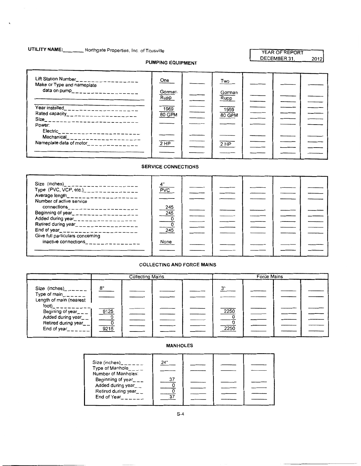### UTILITY **NAME:. \_\_\_** Northgate Properties, Inc. of Titusville

 $\ddot{\phantom{0}}$ 

#### YEAR OF REPORT DECEMBER 31, 2012

#### PUMPING EQUIPMENT

| Lift Station Number_<br>---------------<br>Make or Type and nameplate | One            | Two            |  |  |
|-----------------------------------------------------------------------|----------------|----------------|--|--|
| data on pump____________________                                      | Gorman<br>Rupp | Gorman<br>Rupp |  |  |
| Year installed<br>--------------                                      | 1969           | 1969           |  |  |
| Rated capacity____________________                                    | 80 GPM         | 80 GPM         |  |  |
| Size__________________________<br>Power:                              |                |                |  |  |
| Electric______________________<br>Mechanical_____________________     |                |                |  |  |
| Nameplate data of motor______________                                 | 2 HP           | 2 HP           |  |  |
|                                                                       |                |                |  |  |

#### SERVICE CONNECTIONS

| Size (inches)______________________<br>Type (PVC, VCP, etc.) <sub>--------------</sub><br>Average length___________________<br>Number of active service | ″4<br><b>PVC</b>                     |  |  |  |
|---------------------------------------------------------------------------------------------------------------------------------------------------------|--------------------------------------|--|--|--|
| Beginning of year____________________<br>Added during year<br>Retired during year__________________<br>End of year<br><u> </u>                          | $\frac{245}{245}$<br>$\frac{0}{245}$ |  |  |  |
| Give full particulars concerning<br>inactive connections                                                                                                | None                                 |  |  |  |

#### COLLECTING AND FORCE MAINS

|                                                                                           | <b>Collecting Mains</b> |  |  | Force Mains |              |  |  |  |
|-------------------------------------------------------------------------------------------|-------------------------|--|--|-------------|--------------|--|--|--|
| Size (inches)______<br>Type of main______<br>Length of main (nearest<br>foot)             | 8"                      |  |  |             | つり           |  |  |  |
| Begining of year___<br>Added during year__<br>Retired during year_ _<br>End of year______ | 9125<br>9215            |  |  |             | 2250<br>2250 |  |  |  |

| Size (inches)______<br>Type of Manhole<br>Number of Manholes:<br>Beginning of year $_{--}$<br>Added during year<br>Retired during year__<br>End of Year | 74"<br>37 |  |  |
|---------------------------------------------------------------------------------------------------------------------------------------------------------|-----------|--|--|

#### MANHOLES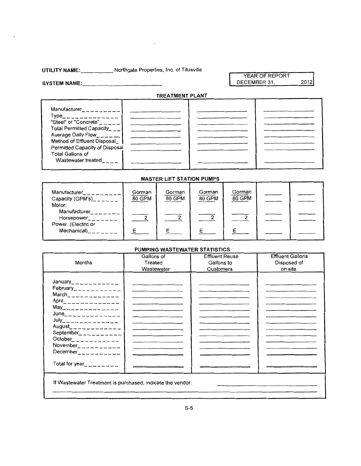**UTILITY NAME: \_\_\_\_\_** Northgate Properties, Inc. of Titusville

 $\label{eq:2.1} \frac{1}{\sqrt{2\pi}}\int_{\mathbb{R}^3}\frac{1}{\sqrt{2\pi}}\left(\frac{1}{\sqrt{2\pi}}\right)^2\frac{1}{\sqrt{2\pi}}\left(\frac{1}{\sqrt{2\pi}}\right)^2\frac{1}{\sqrt{2\pi}}\frac{1}{\sqrt{2\pi}}\frac{1}{\sqrt{2\pi}}\frac{1}{\sqrt{2\pi}}\frac{1}{\sqrt{2\pi}}\frac{1}{\sqrt{2\pi}}\frac{1}{\sqrt{2\pi}}\frac{1}{\sqrt{2\pi}}\frac{1}{\sqrt{2\pi}}\frac{1}{\sqrt{2\pi}}\frac{1}{\sqrt{$ 

YEAR OF REPORT DECEMBER 31, 2012

**SYSTEM NAME:, \_\_\_\_\_\_\_\_\_\_ \_** 

**TREATMENT PLANT** 

| <b>Manufacturer Manufacturer</b> |  |  |
|----------------------------------|--|--|
| Type                             |  |  |
|                                  |  |  |
| Total Permitted Capacity___      |  |  |
| Average Daily Flow____           |  |  |
| Method of Effluent Disposal      |  |  |
| Permitted Capacity of Disposal   |  |  |
| <b>Total Gallons of</b>          |  |  |
| Wastewater treated               |  |  |
|                                  |  |  |

#### **MASTER LIFT STATION PUMPS**

| Manufacturer<br>Capacity (GPM's)______<br>Motor: | Gorman<br>80 GPM | Gorman<br>80 GPM | Gorman<br>80 GPM | Gorman<br>80 GPM |  |
|--------------------------------------------------|------------------|------------------|------------------|------------------|--|
| Manufacturer<br>Horsepower<br>Power (Electric or |                  |                  |                  |                  |  |
| Mechanical)                                      | F                |                  |                  |                  |  |

#### **PUMPING WASTEWATER STATISTICS**

|                                                            | Gallons of | <b>Effluent Reuse</b> | <b>Effluent Gallons</b> |
|------------------------------------------------------------|------------|-----------------------|-------------------------|
| Months                                                     | Treated    | Gallons to            | Disposed of             |
|                                                            | Wastewater | Customers             | on site                 |
|                                                            |            |                       |                         |
| January_ _ _ _ _ _ _ _ _ _ _ _                             |            |                       |                         |
| February____________                                       |            |                       |                         |
|                                                            |            |                       |                         |
| April ______________                                       |            |                       |                         |
| $May_{-}$ - - - - - - - - - - - - -                        |            |                       |                         |
| $June$ <sub>------------</sub>                             |            |                       |                         |
|                                                            |            |                       |                         |
| $August$ <sub>_____________</sub>                          |            |                       |                         |
| September <sub>--------</sub> ---                          |            |                       |                         |
| $October$ <sub>----------</sub>                            |            |                       |                         |
| November <sub>___________</sub>                            |            |                       |                         |
| December <sub>2</sub> $       -$                           |            |                       |                         |
|                                                            |            |                       |                         |
| Total for year_________                                    |            |                       |                         |
|                                                            |            |                       |                         |
|                                                            |            |                       |                         |
| If Wastewater Treatment is purchased, indicate the vendor: |            |                       |                         |
|                                                            |            |                       |                         |
|                                                            |            |                       |                         |
|                                                            |            |                       |                         |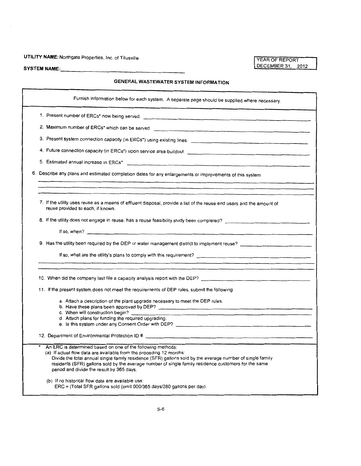### **UTILITY NAME: Northgate Properties, Inc. of Titusville**

### **GENERAL WASTEWATER SYSTEM INFORMATION**

| Furnish information below for each system. A separate page should be supplied where necessary.                                                                                                                                                                                                                                                                                                       |
|------------------------------------------------------------------------------------------------------------------------------------------------------------------------------------------------------------------------------------------------------------------------------------------------------------------------------------------------------------------------------------------------------|
|                                                                                                                                                                                                                                                                                                                                                                                                      |
|                                                                                                                                                                                                                                                                                                                                                                                                      |
|                                                                                                                                                                                                                                                                                                                                                                                                      |
|                                                                                                                                                                                                                                                                                                                                                                                                      |
|                                                                                                                                                                                                                                                                                                                                                                                                      |
| 6. Describe any plans and estimated completion dates for any enlargements or improvements of this system                                                                                                                                                                                                                                                                                             |
| 7. If the utility uses reuse as a means of effluent disposal, provide a list of the reuse end users and the amount of<br>reuse provided to each, if known.                                                                                                                                                                                                                                           |
| 8. If the utility does not engage in reuse, has a reuse feasibility study been completed?                                                                                                                                                                                                                                                                                                            |
| 9. Has the utility been required by the DEP or water management district to implement reuse?                                                                                                                                                                                                                                                                                                         |
|                                                                                                                                                                                                                                                                                                                                                                                                      |
| 10. When did the company last file a capacity analysis report with the DEP? [14] The content of the company content of the company of the company of the company of the company of the company of the company of the company o                                                                                                                                                                       |
| 11. If the present system does not meet the requirements of DEP rules, submit the following:                                                                                                                                                                                                                                                                                                         |
| a. Attach a description of the plant upgrade necessary to meet the DEP rules.<br>c. When will construction begin?<br>d. Attach plans for funding the required upgrading.                                                                                                                                                                                                                             |
|                                                                                                                                                                                                                                                                                                                                                                                                      |
| An ERC is determined based on one of the following methods:<br>(a) If actual flow data are available from the proceding 12 months:<br>Divide the total annual single family residence (SFR) gallons sold by the average number of single family<br>residents (SFR) gallons sold by the average number of single family residence customers for the same<br>period and divide the result by 365 days. |
| (b) If no historical flow data are available use:<br>ERC = (Total SFR gallons sold (omit 000/365 days/280 gallons per day).                                                                                                                                                                                                                                                                          |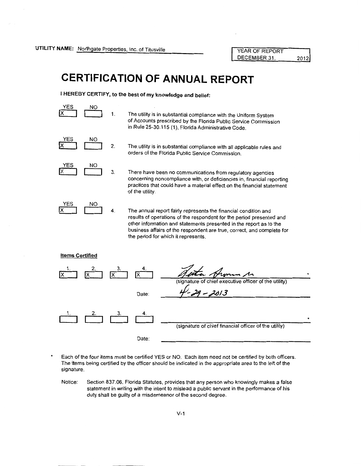# **CERTIFICATION OF ANNUAL REPORT**

**I HEREBY CERTIFY, to the best of my knowledge and belief:** 



The utility is in substantial compliance with the Uniform System of Accounts prescribed by the Florida Public Service Commission in Rule 25-30.115 (1), Florida Administrative Code.



The utility is in substantial compliance with all applicable rules and orders of the Florida Public Service Commission.



There have been no communications from regulatory agencies concerning noncompliance with, or deficiencies in, financial reporting practices that could have a material effect on the financial statement of the utility.



The annual report fairly represents the financial condition and results of operations of the respondent for the period presented and other information and statements presented in the report as 1o the business affairs of the respondent are true, correct, and complete for the period for which it represents.



Each of the four items must be certified YES or NO. Each item need not be certified by both officers. The items being certified by the officer should be indicated in the appropriate area to the left of the signature.

Notice: Section 837.06, Florida Statutes, provides that any person who knowingly makes a false statement in writing with the intent to mislead a public servant in the performance of his duty shall be guilty of a misdemeanor of the second degree.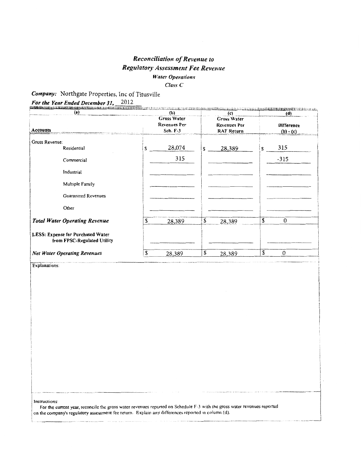#### Reconciliation of Revenue to Regulatory Assessment Fee Revenue **Water Operations** Class<sub>C</sub>

Company: Northgate Properties, Inc of Titusville

For the Year Ended December 31, 2012

| (a)                                                              | (b) |                                                       |    | (c)                                                     |    | (d)                              |  |
|------------------------------------------------------------------|-----|-------------------------------------------------------|----|---------------------------------------------------------|----|----------------------------------|--|
| Accounts                                                         |     | <b>Gross Water</b><br><b>Revenues Per</b><br>Sch. F-3 |    | Gross Water<br><b>Revenues Per</b><br><b>RAF Return</b> |    | <b>Difference</b><br>$(b) - (c)$ |  |
| Gross Revenue:                                                   |     |                                                       |    |                                                         |    |                                  |  |
| Residential                                                      | S   | 28,074                                                | S  | 28,389                                                  | S  | 315                              |  |
| Commercial                                                       |     | 315                                                   |    |                                                         |    | $-315$                           |  |
| Industrial                                                       |     |                                                       |    |                                                         |    |                                  |  |
| Multiple Family                                                  |     |                                                       |    |                                                         |    |                                  |  |
| <b>Guaranteed Revenues</b>                                       |     |                                                       |    |                                                         |    |                                  |  |
| Other                                                            |     |                                                       |    |                                                         |    |                                  |  |
| <b>Total Water Operating Revenue</b>                             | \$  | 28,389                                                | \$ | 28,389                                                  | \$ | $\boldsymbol{0}$                 |  |
| LESS: Expense for Purchased Water<br>from FPSC-Regulated Utility |     |                                                       |    |                                                         |    |                                  |  |
| <b>Net Water Operating Revenues</b>                              | \$  | 28,389                                                | \$ | 28,389                                                  | \$ | $\boldsymbol{0}$                 |  |

Instructions:

For the current year, reconcile the gross water revenues reported on Schedule F-3 with the gross water revenues reported on the company's regulatory assessment fee return. Explain any differences reported in column (d).